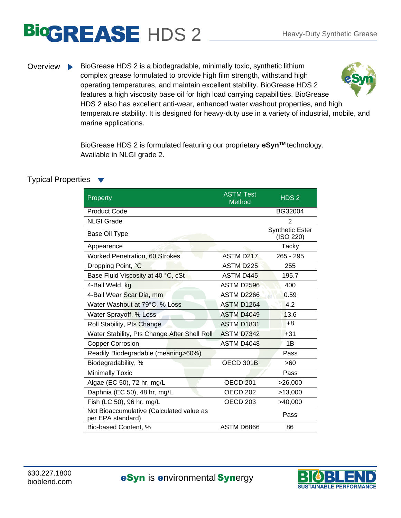## BIOGREASE HDS 2 Heavy-Duty Synthetic Grease

Overview BioGrease HDS 2 is a biodegradable, minimally toxic, synthetic lithium complex grease formulated to provide high film strength, withstand high operating temperatures, and maintain excellent stability. BioGrease HDS 2 features a high viscosity base oil for high load carrying capabilities. BioGrease HDS 2 also has excellent anti-wear, enhanced water washout properties, and high temperature stability. It is designed for heavy-duty use in a variety of industrial, mobile, and marine applications.

> BioGrease HDS 2 is formulated featuring our proprietary **eSynTM** technology. Available in NLGI grade 2.

## Typical Properties

| Property                                                      | <b>ASTM Test</b><br>Method | HDS <sub>2</sub>                    |
|---------------------------------------------------------------|----------------------------|-------------------------------------|
| <b>Product Code</b>                                           |                            | BG32004                             |
| <b>NLGI Grade</b>                                             |                            | $\overline{2}$                      |
| Base Oil Type                                                 |                            | <b>Synthetic Ester</b><br>(ISO 220) |
| Appearence                                                    |                            | Tacky                               |
| <b>Worked Penetration, 60 Strokes</b>                         | <b>ASTM D217</b>           | $265 - 295$                         |
| Dropping Point, °C                                            | <b>ASTM D225</b>           | 255                                 |
| Base Fluid Viscosity at 40 °C, cSt                            | <b>ASTM D445</b>           | 195.7                               |
| 4-Ball Weld, kg                                               | <b>ASTM D2596</b>          | 400                                 |
| 4-Ball Wear Scar Dia, mm                                      | ASTM D <sub>2266</sub>     | 0.59                                |
| Water Washout at 79°C, % Loss                                 | ASTM D1264                 | 4.2                                 |
| Water Sprayoff, % Loss                                        | ASTM D4049                 | 13.6                                |
| Roll Stability, Pts Change                                    | <b>ASTM D1831</b>          | $+8$                                |
| Water Stability, Pts Change After Shell Roll                  | ASTM D7342                 | $+31$                               |
| <b>Copper Corrosion</b>                                       | ASTM D4048                 | 1B                                  |
| Readily Biodegradable (meaning>60%)                           |                            | Pass                                |
| Biodegradability, %                                           | OECD 301B                  | >60                                 |
| <b>Minimally Toxic</b>                                        |                            | Pass                                |
| Algae (EC 50), 72 hr, mg/L                                    | <b>OECD 201</b>            | >26,000                             |
| Daphnia (EC 50), 48 hr, mg/L                                  | <b>OECD 202</b>            | >13,000                             |
| Fish (LC 50), 96 hr, mg/L                                     | <b>OECD 203</b>            | >40,000                             |
| Not Bioaccumulative (Calculated value as<br>per EPA standard) |                            | Pass                                |
| Bio-based Content, %                                          | ASTM D6866                 | 86                                  |